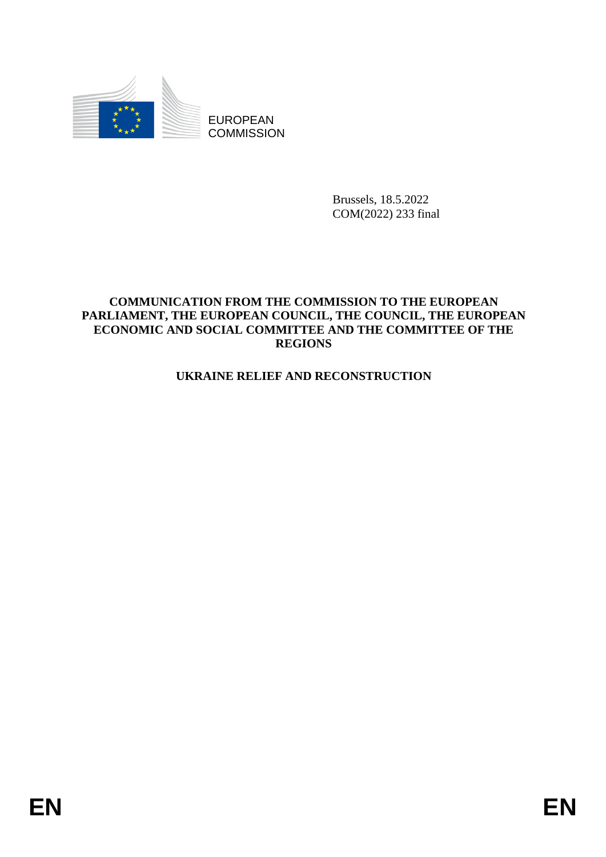

EUROPEAN **COMMISSION** 

> Brussels, 18.5.2022 COM(2022) 233 final

## **COMMUNICATION FROM THE COMMISSION TO THE EUROPEAN PARLIAMENT, THE EUROPEAN COUNCIL, THE COUNCIL, THE EUROPEAN ECONOMIC AND SOCIAL COMMITTEE AND THE COMMITTEE OF THE REGIONS**

# **UKRAINE RELIEF AND RECONSTRUCTION**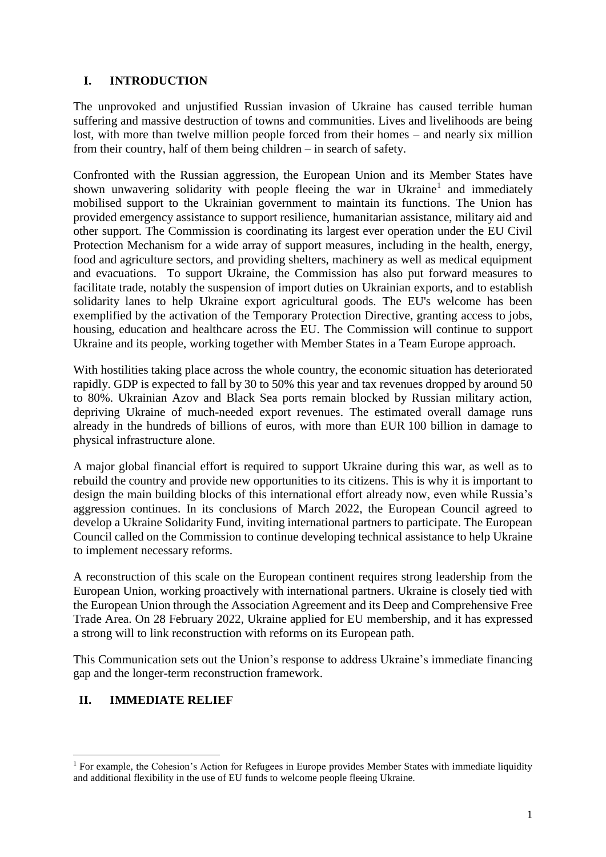### **I. INTRODUCTION**

The unprovoked and unjustified Russian invasion of Ukraine has caused terrible human suffering and massive destruction of towns and communities. Lives and livelihoods are being lost, with more than twelve million people forced from their homes – and nearly six million from their country, half of them being children – in search of safety.

Confronted with the Russian aggression, the European Union and its Member States have shown unwavering solidarity with people fleeing the war in Ukraine<sup>1</sup> and immediately mobilised support to the Ukrainian government to maintain its functions. The Union has provided emergency assistance to support resilience, humanitarian assistance, military aid and other support. The Commission is coordinating its largest ever operation under the EU Civil Protection Mechanism for a wide array of support measures, including in the health, energy, food and agriculture sectors, and providing shelters, machinery as well as medical equipment and evacuations. To support Ukraine, the Commission has also put forward measures to facilitate trade, notably the suspension of import duties on Ukrainian exports, and to establish solidarity lanes to help Ukraine export agricultural goods. The EU's welcome has been exemplified by the activation of the Temporary Protection Directive, granting access to jobs, housing, education and healthcare across the EU. The Commission will continue to support Ukraine and its people, working together with Member States in a Team Europe approach.

With hostilities taking place across the whole country, the economic situation has deteriorated rapidly. GDP is expected to fall by 30 to 50% this year and tax revenues dropped by around 50 to 80%. Ukrainian Azov and Black Sea ports remain blocked by Russian military action, depriving Ukraine of much-needed export revenues. The estimated overall damage runs already in the hundreds of billions of euros, with more than EUR 100 billion in damage to physical infrastructure alone.

A major global financial effort is required to support Ukraine during this war, as well as to rebuild the country and provide new opportunities to its citizens. This is why it is important to design the main building blocks of this international effort already now, even while Russia's aggression continues. In its conclusions of March 2022, the European Council agreed to develop a Ukraine Solidarity Fund, inviting international partners to participate. The European Council called on the Commission to continue developing technical assistance to help Ukraine to implement necessary reforms.

A reconstruction of this scale on the European continent requires strong leadership from the European Union, working proactively with international partners. Ukraine is closely tied with the European Union through the Association Agreement and its Deep and Comprehensive Free Trade Area. On 28 February 2022, Ukraine applied for EU membership, and it has expressed a strong will to link reconstruction with reforms on its European path.

This Communication sets out the Union's response to address Ukraine's immediate financing gap and the longer-term reconstruction framework.

#### **II. IMMEDIATE RELIEF**

1

<sup>&</sup>lt;sup>1</sup> For example, the Cohesion's Action for Refugees in Europe provides Member States with immediate liquidity and additional flexibility in the use of EU funds to welcome people fleeing Ukraine.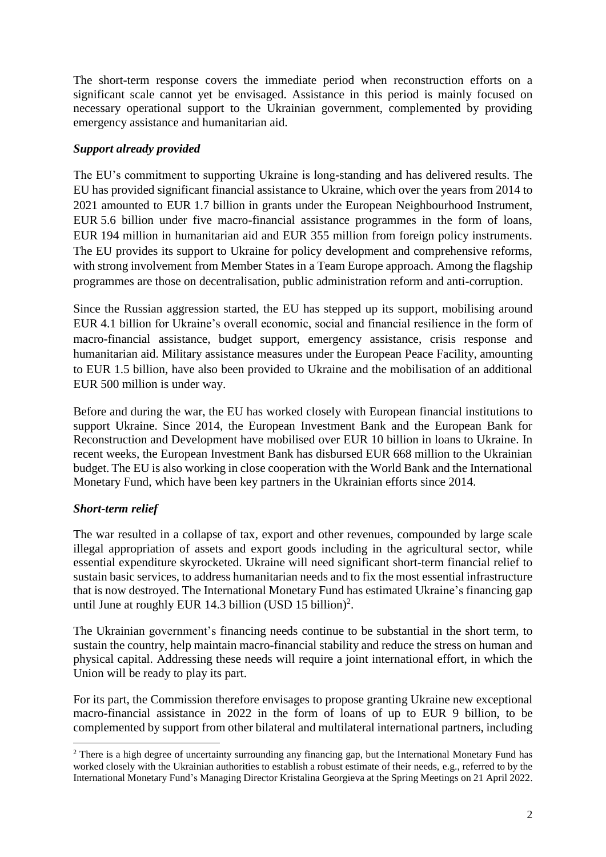The short-term response covers the immediate period when reconstruction efforts on a significant scale cannot yet be envisaged. Assistance in this period is mainly focused on necessary operational support to the Ukrainian government, complemented by providing emergency assistance and humanitarian aid.

#### *Support already provided*

The EU's commitment to supporting Ukraine is long-standing and has delivered results. The EU has provided significant financial assistance to Ukraine, which over the years from 2014 to 2021 amounted to EUR 1.7 billion in grants under the European Neighbourhood Instrument, EUR 5.6 billion under five macro-financial assistance programmes in the form of loans, EUR 194 million in humanitarian aid and EUR 355 million from foreign policy instruments. The EU provides its support to Ukraine for policy development and comprehensive reforms, with strong involvement from Member States in a Team Europe approach. Among the flagship programmes are those on decentralisation, public administration reform and anti-corruption.

Since the Russian aggression started, the EU has stepped up its support, mobilising around EUR 4.1 billion for Ukraine's overall economic, social and financial resilience in the form of macro-financial assistance, budget support, emergency assistance, crisis response and humanitarian aid. Military assistance measures under the European Peace Facility, amounting to EUR 1.5 billion, have also been provided to Ukraine and the mobilisation of an additional EUR 500 million is under way.

Before and during the war, the EU has worked closely with European financial institutions to support Ukraine. Since 2014, the European Investment Bank and the European Bank for Reconstruction and Development have mobilised over EUR 10 billion in loans to Ukraine. In recent weeks, the European Investment Bank has disbursed EUR 668 million to the Ukrainian budget. The EU is also working in close cooperation with the World Bank and the International Monetary Fund, which have been key partners in the Ukrainian efforts since 2014.

## *Short-term relief*

 $\overline{\phantom{a}}$ 

The war resulted in a collapse of tax, export and other revenues, compounded by large scale illegal appropriation of assets and export goods including in the agricultural sector, while essential expenditure skyrocketed. Ukraine will need significant short-term financial relief to sustain basic services, to address humanitarian needs and to fix the most essential infrastructure that is now destroyed. The International Monetary Fund has estimated Ukraine's financing gap until June at roughly EUR 14.3 billion (USD 15 billion)<sup>2</sup>.

The Ukrainian government's financing needs continue to be substantial in the short term, to sustain the country, help maintain macro-financial stability and reduce the stress on human and physical capital. Addressing these needs will require a joint international effort, in which the Union will be ready to play its part.

For its part, the Commission therefore envisages to propose granting Ukraine new exceptional macro-financial assistance in 2022 in the form of loans of up to EUR 9 billion, to be complemented by support from other bilateral and multilateral international partners, including

<sup>&</sup>lt;sup>2</sup> There is a high degree of uncertainty surrounding any financing gap, but the International Monetary Fund has worked closely with the Ukrainian authorities to establish a robust estimate of their needs, e.g., referred to by the International Monetary Fund's Managing Director Kristalina Georgieva at the Spring Meetings on 21 April 2022.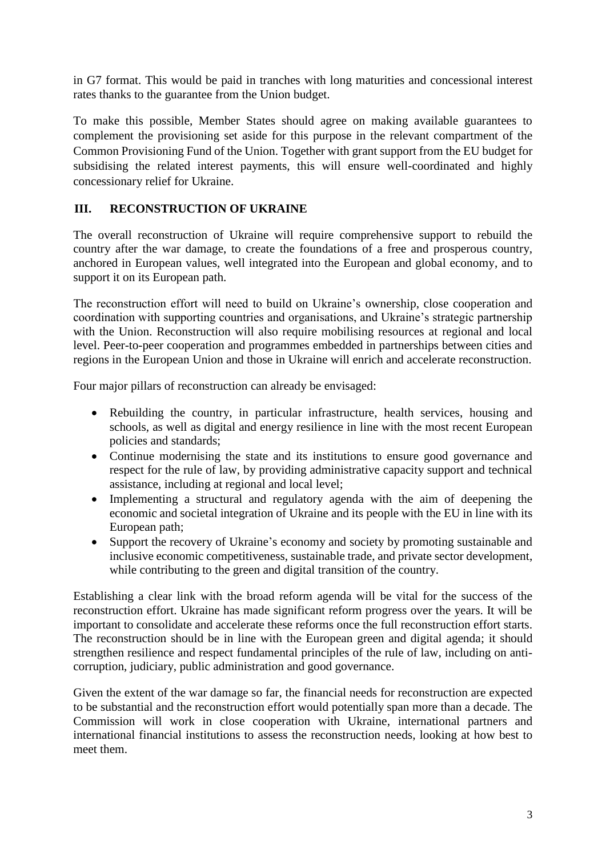in G7 format. This would be paid in tranches with long maturities and concessional interest rates thanks to the guarantee from the Union budget.

To make this possible, Member States should agree on making available guarantees to complement the provisioning set aside for this purpose in the relevant compartment of the Common Provisioning Fund of the Union. Together with grant support from the EU budget for subsidising the related interest payments, this will ensure well-coordinated and highly concessionary relief for Ukraine.

# **III. RECONSTRUCTION OF UKRAINE**

The overall reconstruction of Ukraine will require comprehensive support to rebuild the country after the war damage, to create the foundations of a free and prosperous country, anchored in European values, well integrated into the European and global economy, and to support it on its European path.

The reconstruction effort will need to build on Ukraine's ownership, close cooperation and coordination with supporting countries and organisations, and Ukraine's strategic partnership with the Union. Reconstruction will also require mobilising resources at regional and local level. Peer-to-peer cooperation and programmes embedded in partnerships between cities and regions in the European Union and those in Ukraine will enrich and accelerate reconstruction.

Four major pillars of reconstruction can already be envisaged:

- Rebuilding the country, in particular infrastructure, health services, housing and schools, as well as digital and energy resilience in line with the most recent European policies and standards;
- Continue modernising the state and its institutions to ensure good governance and respect for the rule of law, by providing administrative capacity support and technical assistance, including at regional and local level;
- Implementing a structural and regulatory agenda with the aim of deepening the economic and societal integration of Ukraine and its people with the EU in line with its European path;
- Support the recovery of Ukraine's economy and society by promoting sustainable and inclusive economic competitiveness, sustainable trade, and private sector development, while contributing to the green and digital transition of the country.

Establishing a clear link with the broad reform agenda will be vital for the success of the reconstruction effort. Ukraine has made significant reform progress over the years. It will be important to consolidate and accelerate these reforms once the full reconstruction effort starts. The reconstruction should be in line with the European green and digital agenda; it should strengthen resilience and respect fundamental principles of the rule of law, including on anticorruption, judiciary, public administration and good governance.

Given the extent of the war damage so far, the financial needs for reconstruction are expected to be substantial and the reconstruction effort would potentially span more than a decade. The Commission will work in close cooperation with Ukraine, international partners and international financial institutions to assess the reconstruction needs, looking at how best to meet them.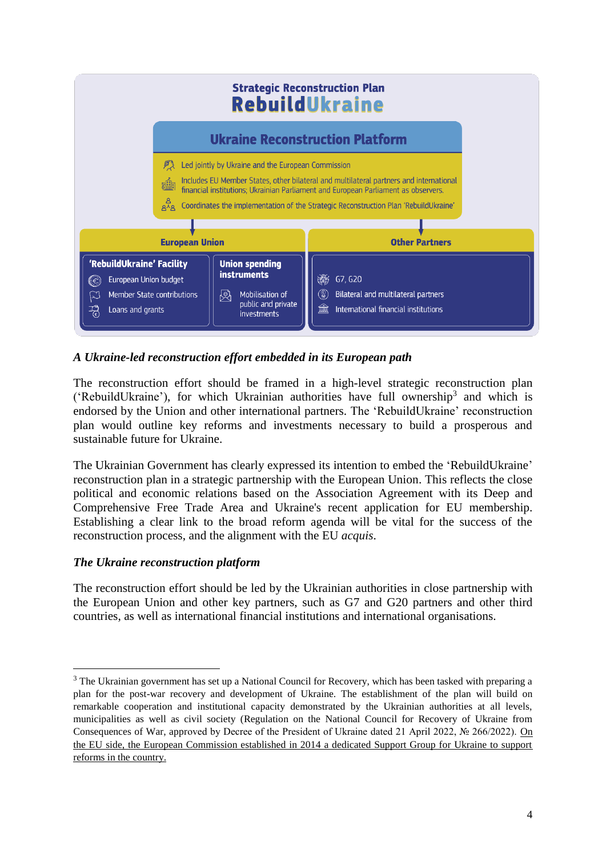| <b>Strategic Reconstruction Plan</b><br><b>RebuildUkraine</b>                                                                                                                                                                                                                                                                                                                                              |                                                                                                                 |                                                                                                         |
|------------------------------------------------------------------------------------------------------------------------------------------------------------------------------------------------------------------------------------------------------------------------------------------------------------------------------------------------------------------------------------------------------------|-----------------------------------------------------------------------------------------------------------------|---------------------------------------------------------------------------------------------------------|
| <b>Ukraine Reconstruction Platform</b>                                                                                                                                                                                                                                                                                                                                                                     |                                                                                                                 |                                                                                                         |
| Led jointly by Ukraine and the European Commission<br>Includes EU Member States, other bilateral and multilateral partners and international<br>禮<br>financial institutions; Ukrainian Parliament and European Parliament as observers.<br>م<br>م <sup>ر</sup> م<br>Coordinates the implementation of the Strategic Reconstruction Plan 'RebuildUkraine'<br><b>European Union</b><br><b>Other Partners</b> |                                                                                                                 |                                                                                                         |
| 'RebuildUkraine' Facility<br>European Union budget<br>$(\in$<br>Member State contributions<br>Loans and grants                                                                                                                                                                                                                                                                                             | <b>Union spending</b><br><b>instruments</b><br>Mobilisation of<br>閃<br>public and private<br><i>investments</i> | 缴<br>G7, G20<br>(?)<br>Bilateral and multilateral partners<br>窳<br>International financial institutions |

## *A Ukraine-led reconstruction effort embedded in its European path*

The reconstruction effort should be framed in a high-level strategic reconstruction plan ('RebuildUkraine'), for which Ukrainian authorities have full ownership<sup>3</sup> and which is endorsed by the Union and other international partners. The 'RebuildUkraine' reconstruction plan would outline key reforms and investments necessary to build a prosperous and sustainable future for Ukraine.

The Ukrainian Government has clearly expressed its intention to embed the 'RebuildUkraine' reconstruction plan in a strategic partnership with the European Union. This reflects the close political and economic relations based on the Association Agreement with its Deep and Comprehensive Free Trade Area and Ukraine's recent application for EU membership. Establishing a clear link to the broad reform agenda will be vital for the success of the reconstruction process, and the alignment with the EU *acquis*.

## *The Ukraine reconstruction platform*

 $\overline{\phantom{a}}$ 

The reconstruction effort should be led by the Ukrainian authorities in close partnership with the European Union and other key partners, such as G7 and G20 partners and other third countries, as well as international financial institutions and international organisations.

<sup>&</sup>lt;sup>3</sup> The Ukrainian government has set up a National Council for Recovery, which has been tasked with preparing a plan for the post-war recovery and development of Ukraine. The establishment of the plan will build on remarkable cooperation and institutional capacity demonstrated by the Ukrainian authorities at all levels, municipalities as well as civil society (Regulation on the National Council for Recovery of Ukraine from Consequences of War, approved by Decree of the President of Ukraine dated 21 April 2022, № 266/2022). On the EU side, the European Commission established in 2014 a dedicated Support Group for Ukraine to support reforms in the country.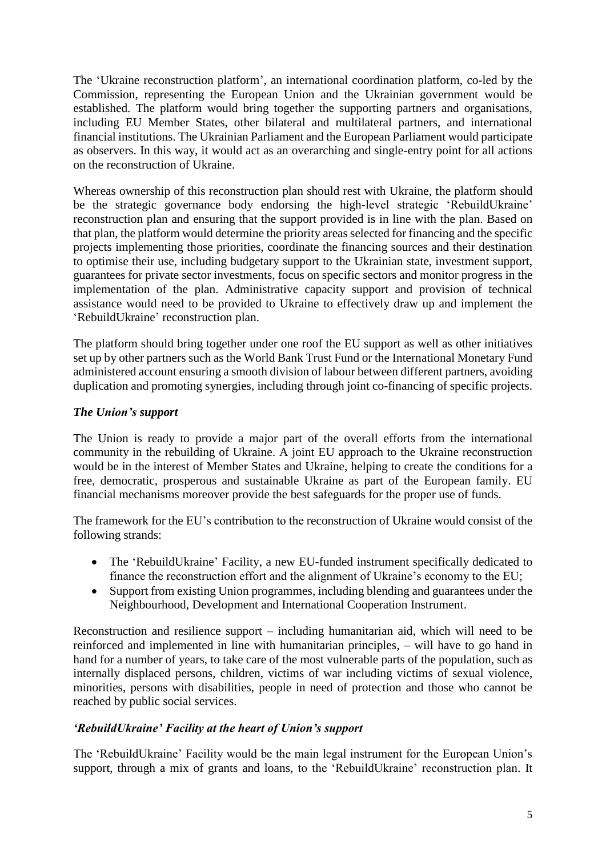The 'Ukraine reconstruction platform', an international coordination platform, co-led by the Commission, representing the European Union and the Ukrainian government would be established. The platform would bring together the supporting partners and organisations, including EU Member States, other bilateral and multilateral partners, and international financial institutions. The Ukrainian Parliament and the European Parliament would participate as observers. In this way, it would act as an overarching and single-entry point for all actions on the reconstruction of Ukraine.

Whereas ownership of this reconstruction plan should rest with Ukraine, the platform should be the strategic governance body endorsing the high-level strategic 'RebuildUkraine' reconstruction plan and ensuring that the support provided is in line with the plan. Based on that plan, the platform would determine the priority areas selected for financing and the specific projects implementing those priorities, coordinate the financing sources and their destination to optimise their use, including budgetary support to the Ukrainian state, investment support, guarantees for private sector investments, focus on specific sectors and monitor progress in the implementation of the plan. Administrative capacity support and provision of technical assistance would need to be provided to Ukraine to effectively draw up and implement the 'RebuildUkraine' reconstruction plan.

The platform should bring together under one roof the EU support as well as other initiatives set up by other partners such as the World Bank Trust Fund or the International Monetary Fund administered account ensuring a smooth division of labour between different partners, avoiding duplication and promoting synergies, including through joint co-financing of specific projects.

#### *The Union's support*

The Union is ready to provide a major part of the overall efforts from the international community in the rebuilding of Ukraine. A joint EU approach to the Ukraine reconstruction would be in the interest of Member States and Ukraine, helping to create the conditions for a free, democratic, prosperous and sustainable Ukraine as part of the European family. EU financial mechanisms moreover provide the best safeguards for the proper use of funds.

The framework for the EU's contribution to the reconstruction of Ukraine would consist of the following strands:

- The 'RebuildUkraine' Facility, a new EU-funded instrument specifically dedicated to finance the reconstruction effort and the alignment of Ukraine's economy to the EU;
- Support from existing Union programmes, including blending and guarantees under the Neighbourhood, Development and International Cooperation Instrument.

Reconstruction and resilience support – including humanitarian aid, which will need to be reinforced and implemented in line with humanitarian principles, – will have to go hand in hand for a number of years, to take care of the most vulnerable parts of the population, such as internally displaced persons, children, victims of war including victims of sexual violence, minorities, persons with disabilities, people in need of protection and those who cannot be reached by public social services.

#### *'RebuildUkraine' Facility at the heart of Union's support*

The 'RebuildUkraine' Facility would be the main legal instrument for the European Union's support, through a mix of grants and loans, to the 'RebuildUkraine' reconstruction plan. It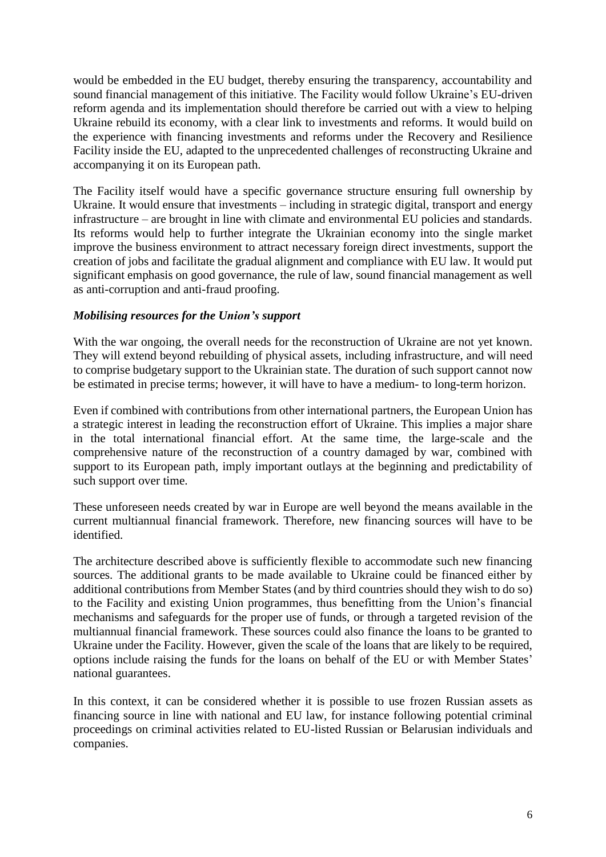would be embedded in the EU budget, thereby ensuring the transparency, accountability and sound financial management of this initiative. The Facility would follow Ukraine's EU-driven reform agenda and its implementation should therefore be carried out with a view to helping Ukraine rebuild its economy, with a clear link to investments and reforms. It would build on the experience with financing investments and reforms under the Recovery and Resilience Facility inside the EU, adapted to the unprecedented challenges of reconstructing Ukraine and accompanying it on its European path.

The Facility itself would have a specific governance structure ensuring full ownership by Ukraine. It would ensure that investments – including in strategic digital, transport and energy infrastructure – are brought in line with climate and environmental EU policies and standards. Its reforms would help to further integrate the Ukrainian economy into the single market improve the business environment to attract necessary foreign direct investments, support the creation of jobs and facilitate the gradual alignment and compliance with EU law. It would put significant emphasis on good governance, the rule of law, sound financial management as well as anti-corruption and anti-fraud proofing.

#### *Mobilising resources for the Union's support*

With the war ongoing, the overall needs for the reconstruction of Ukraine are not yet known. They will extend beyond rebuilding of physical assets, including infrastructure, and will need to comprise budgetary support to the Ukrainian state. The duration of such support cannot now be estimated in precise terms; however, it will have to have a medium- to long-term horizon.

Even if combined with contributions from other international partners, the European Union has a strategic interest in leading the reconstruction effort of Ukraine. This implies a major share in the total international financial effort. At the same time, the large-scale and the comprehensive nature of the reconstruction of a country damaged by war, combined with support to its European path, imply important outlays at the beginning and predictability of such support over time.

These unforeseen needs created by war in Europe are well beyond the means available in the current multiannual financial framework. Therefore, new financing sources will have to be identified.

The architecture described above is sufficiently flexible to accommodate such new financing sources. The additional grants to be made available to Ukraine could be financed either by additional contributions from Member States (and by third countries should they wish to do so) to the Facility and existing Union programmes, thus benefitting from the Union's financial mechanisms and safeguards for the proper use of funds, or through a targeted revision of the multiannual financial framework. These sources could also finance the loans to be granted to Ukraine under the Facility. However, given the scale of the loans that are likely to be required, options include raising the funds for the loans on behalf of the EU or with Member States' national guarantees.

In this context, it can be considered whether it is possible to use frozen Russian assets as financing source in line with national and EU law, for instance following potential criminal proceedings on criminal activities related to EU-listed Russian or Belarusian individuals and companies.